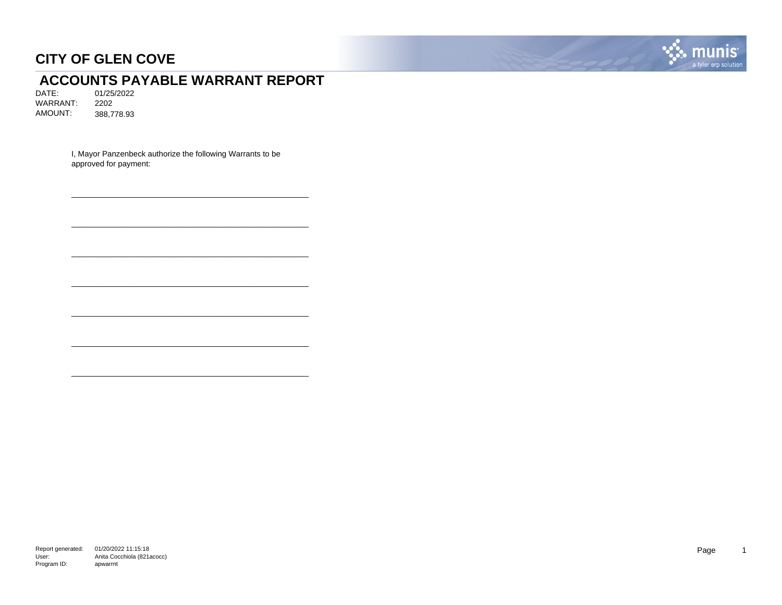

# **ACCOUNTS PAYABLE WARRANT REPORT**<br>DATE: 01/25/2022

DATE: 01/25/2022 WARRANT: 2202 AMOUNT: 388,778.93

> I, Mayor Panzenbeck authorize the following Warrants to be approved for payment:

\_\_\_\_\_\_\_\_\_\_\_\_\_\_\_\_\_\_\_\_\_\_\_\_\_\_\_\_\_\_\_\_\_\_\_\_\_\_\_\_\_\_\_\_\_\_\_\_\_\_\_\_\_\_

\_\_\_\_\_\_\_\_\_\_\_\_\_\_\_\_\_\_\_\_\_\_\_\_\_\_\_\_\_\_\_\_\_\_\_\_\_\_\_\_\_\_\_\_\_\_\_\_\_\_\_\_\_\_

\_\_\_\_\_\_\_\_\_\_\_\_\_\_\_\_\_\_\_\_\_\_\_\_\_\_\_\_\_\_\_\_\_\_\_\_\_\_\_\_\_\_\_\_\_\_\_\_\_\_\_\_\_\_

\_\_\_\_\_\_\_\_\_\_\_\_\_\_\_\_\_\_\_\_\_\_\_\_\_\_\_\_\_\_\_\_\_\_\_\_\_\_\_\_\_\_\_\_\_\_\_\_\_\_\_\_\_\_

\_\_\_\_\_\_\_\_\_\_\_\_\_\_\_\_\_\_\_\_\_\_\_\_\_\_\_\_\_\_\_\_\_\_\_\_\_\_\_\_\_\_\_\_\_\_\_\_\_\_\_\_\_\_

\_\_\_\_\_\_\_\_\_\_\_\_\_\_\_\_\_\_\_\_\_\_\_\_\_\_\_\_\_\_\_\_\_\_\_\_\_\_\_\_\_\_\_\_\_\_\_\_\_\_\_\_\_\_

\_\_\_\_\_\_\_\_\_\_\_\_\_\_\_\_\_\_\_\_\_\_\_\_\_\_\_\_\_\_\_\_\_\_\_\_\_\_\_\_\_\_\_\_\_\_\_\_\_\_\_\_\_\_

Report generated: 01/20/2022 11:15:18 User: Program ID: Anita Cocchiola (821acocc) apwarrnt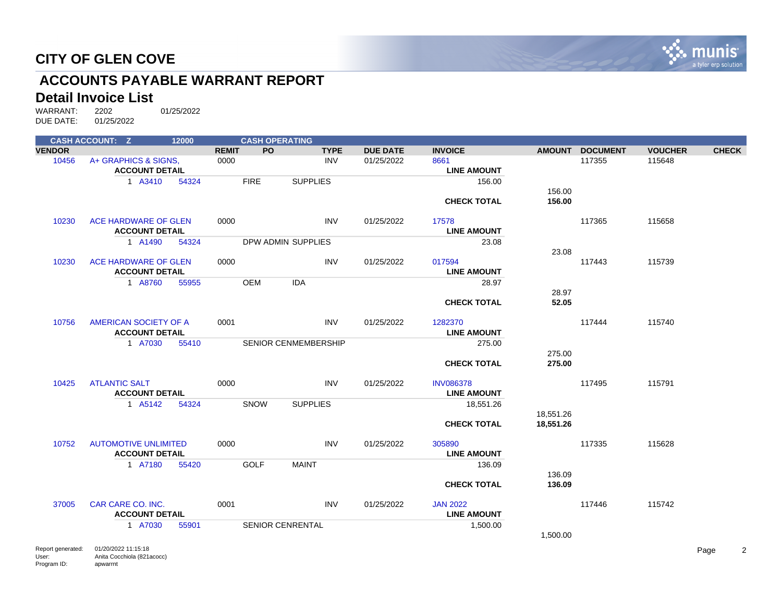

# **ACCOUNTS PAYABLE WARRANT REPORT**

#### **Detail Invoice List**

|               | <b>CASH ACCOUNT: Z</b>      | 12000 |              | <b>CASH OPERATING</b> |                         |             |                 |                    |               |                 |                |              |
|---------------|-----------------------------|-------|--------------|-----------------------|-------------------------|-------------|-----------------|--------------------|---------------|-----------------|----------------|--------------|
| <b>VENDOR</b> |                             |       | <b>REMIT</b> | <b>PO</b>             |                         | <b>TYPE</b> | <b>DUE DATE</b> | <b>INVOICE</b>     | <b>AMOUNT</b> | <b>DOCUMENT</b> | <b>VOUCHER</b> | <b>CHECK</b> |
| 10456         | A+ GRAPHICS & SIGNS.        |       | 0000         |                       |                         | <b>INV</b>  | 01/25/2022      | 8661               |               | 117355          | 115648         |              |
|               | <b>ACCOUNT DETAIL</b>       |       |              |                       |                         |             |                 | <b>LINE AMOUNT</b> |               |                 |                |              |
|               | 1 A3410                     | 54324 |              | <b>FIRE</b>           | <b>SUPPLIES</b>         |             |                 | 156.00             |               |                 |                |              |
|               |                             |       |              |                       |                         |             |                 |                    | 156.00        |                 |                |              |
|               |                             |       |              |                       |                         |             |                 | <b>CHECK TOTAL</b> | 156.00        |                 |                |              |
|               |                             |       |              |                       |                         |             |                 |                    |               |                 |                |              |
| 10230         | ACE HARDWARE OF GLEN        |       | 0000         |                       |                         | <b>INV</b>  | 01/25/2022      | 17578              |               | 117365          | 115658         |              |
|               | <b>ACCOUNT DETAIL</b>       |       |              |                       |                         |             |                 | <b>LINE AMOUNT</b> |               |                 |                |              |
|               | 1 A1490                     | 54324 |              |                       | DPW ADMIN SUPPLIES      |             |                 | 23.08              |               |                 |                |              |
|               |                             |       |              |                       |                         |             |                 |                    | 23.08         |                 |                |              |
| 10230         | ACE HARDWARE OF GLEN        |       | 0000         |                       |                         | <b>INV</b>  | 01/25/2022      | 017594             |               | 117443          | 115739         |              |
|               | <b>ACCOUNT DETAIL</b>       |       |              |                       |                         |             |                 | <b>LINE AMOUNT</b> |               |                 |                |              |
|               | 1 A8760                     | 55955 |              | <b>OEM</b>            | <b>IDA</b>              |             |                 | 28.97              |               |                 |                |              |
|               |                             |       |              |                       |                         |             |                 |                    | 28.97         |                 |                |              |
|               |                             |       |              |                       |                         |             |                 | <b>CHECK TOTAL</b> | 52.05         |                 |                |              |
| 10756         | AMERICAN SOCIETY OF A       |       | 0001         |                       |                         | <b>INV</b>  | 01/25/2022      | 1282370            |               | 117444          | 115740         |              |
|               | <b>ACCOUNT DETAIL</b>       |       |              |                       |                         |             |                 | <b>LINE AMOUNT</b> |               |                 |                |              |
|               | 1 A7030                     | 55410 |              |                       | SENIOR CENMEMBERSHIP    |             |                 | 275.00             |               |                 |                |              |
|               |                             |       |              |                       |                         |             |                 |                    | 275.00        |                 |                |              |
|               |                             |       |              |                       |                         |             |                 | <b>CHECK TOTAL</b> | 275.00        |                 |                |              |
|               |                             |       |              |                       |                         |             |                 |                    |               |                 |                |              |
| 10425         | <b>ATLANTIC SALT</b>        |       | 0000         |                       |                         | <b>INV</b>  | 01/25/2022      | <b>INV086378</b>   |               | 117495          | 115791         |              |
|               | <b>ACCOUNT DETAIL</b>       |       |              |                       |                         |             |                 | <b>LINE AMOUNT</b> |               |                 |                |              |
|               | 1 A5142                     | 54324 |              | SNOW                  | <b>SUPPLIES</b>         |             |                 | 18,551.26          |               |                 |                |              |
|               |                             |       |              |                       |                         |             |                 |                    | 18,551.26     |                 |                |              |
|               |                             |       |              |                       |                         |             |                 | <b>CHECK TOTAL</b> | 18,551.26     |                 |                |              |
|               |                             |       |              |                       |                         |             |                 |                    |               |                 |                |              |
| 10752         | <b>AUTOMOTIVE UNLIMITED</b> |       | 0000         |                       |                         | <b>INV</b>  | 01/25/2022      | 305890             |               | 117335          | 115628         |              |
|               | <b>ACCOUNT DETAIL</b>       |       |              |                       |                         |             |                 | <b>LINE AMOUNT</b> |               |                 |                |              |
|               | 1 A7180                     | 55420 |              | <b>GOLF</b>           | <b>MAINT</b>            |             |                 | 136.09             |               |                 |                |              |
|               |                             |       |              |                       |                         |             |                 |                    | 136.09        |                 |                |              |
|               |                             |       |              |                       |                         |             |                 | <b>CHECK TOTAL</b> | 136.09        |                 |                |              |
|               |                             |       |              |                       |                         |             |                 |                    |               |                 |                |              |
| 37005         | CAR CARE CO. INC.           |       | 0001         |                       |                         | <b>INV</b>  | 01/25/2022      | <b>JAN 2022</b>    |               | 117446          | 115742         |              |
|               | <b>ACCOUNT DETAIL</b>       |       |              |                       |                         |             |                 | <b>LINE AMOUNT</b> |               |                 |                |              |
|               | 1 A7030                     | 55901 |              |                       | <b>SENIOR CENRENTAL</b> |             |                 | 1,500.00           |               |                 |                |              |
|               |                             |       |              |                       |                         |             |                 |                    | 1,500.00      |                 |                |              |
|               |                             |       |              |                       |                         |             |                 |                    |               |                 |                |              |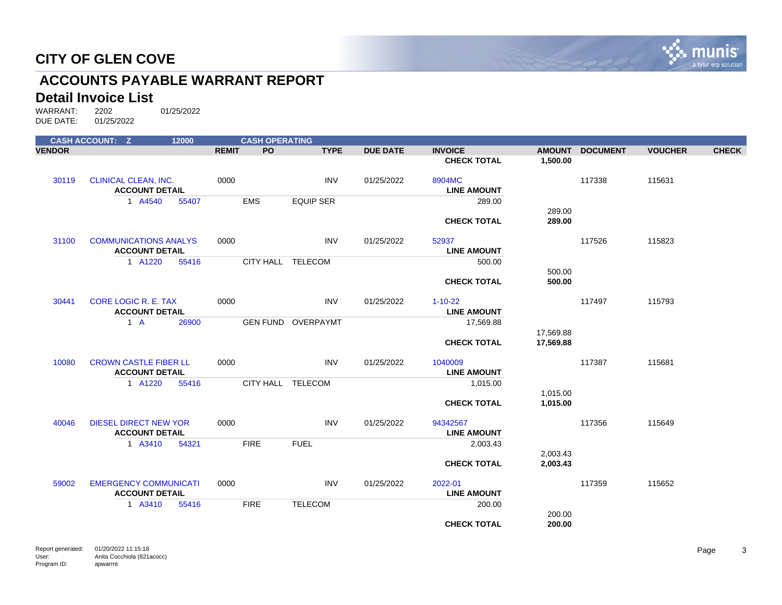

# **ACCOUNTS PAYABLE WARRANT REPORT**

#### **Detail Invoice List**

|               | <b>CASH ACCOUNT: Z</b>                                | 12000 |              | <b>CASH OPERATING</b> |                           |                 |                                     |                        |                 |                |              |
|---------------|-------------------------------------------------------|-------|--------------|-----------------------|---------------------------|-----------------|-------------------------------------|------------------------|-----------------|----------------|--------------|
| <b>VENDOR</b> |                                                       |       | <b>REMIT</b> | PO                    | <b>TYPE</b>               | <b>DUE DATE</b> | <b>INVOICE</b>                      | <b>AMOUNT</b>          | <b>DOCUMENT</b> | <b>VOUCHER</b> | <b>CHECK</b> |
|               |                                                       |       |              |                       |                           |                 | <b>CHECK TOTAL</b>                  | 1,500.00               |                 |                |              |
| 30119         | <b>CLINICAL CLEAN, INC.</b><br><b>ACCOUNT DETAIL</b>  |       | 0000         |                       | <b>INV</b>                | 01/25/2022      | 8904MC<br><b>LINE AMOUNT</b>        |                        | 117338          | 115631         |              |
|               | 1 A4540                                               | 55407 |              | <b>EMS</b>            | <b>EQUIP SER</b>          |                 | 289.00                              |                        |                 |                |              |
|               |                                                       |       |              |                       |                           |                 | <b>CHECK TOTAL</b>                  | 289.00<br>289.00       |                 |                |              |
| 31100         | <b>COMMUNICATIONS ANALYS</b><br><b>ACCOUNT DETAIL</b> |       | 0000         |                       | <b>INV</b>                | 01/25/2022      | 52937<br><b>LINE AMOUNT</b>         |                        | 117526          | 115823         |              |
|               | 1 A1220                                               | 55416 |              |                       | CITY HALL TELECOM         |                 | 500.00                              |                        |                 |                |              |
|               |                                                       |       |              |                       |                           |                 | <b>CHECK TOTAL</b>                  | 500.00<br>500.00       |                 |                |              |
| 30441         | <b>CORE LOGIC R. E. TAX</b><br><b>ACCOUNT DETAIL</b>  |       | 0000         |                       | <b>INV</b>                | 01/25/2022      | $1 - 10 - 22$<br><b>LINE AMOUNT</b> |                        | 117497          | 115793         |              |
|               | $1 \text{ A}$                                         | 26900 |              |                       | <b>GEN FUND OVERPAYMT</b> |                 | 17,569.88                           |                        |                 |                |              |
|               |                                                       |       |              |                       |                           |                 | <b>CHECK TOTAL</b>                  | 17,569.88<br>17,569.88 |                 |                |              |
| 10080         | <b>CROWN CASTLE FIBER LL</b><br><b>ACCOUNT DETAIL</b> |       | 0000         |                       | <b>INV</b>                | 01/25/2022      | 1040009<br><b>LINE AMOUNT</b>       |                        | 117387          | 115681         |              |
|               | 1 A1220                                               | 55416 |              | CITY HALL TELECOM     |                           |                 | 1,015.00                            |                        |                 |                |              |
|               |                                                       |       |              |                       |                           |                 | <b>CHECK TOTAL</b>                  | 1,015.00<br>1,015.00   |                 |                |              |
| 40046         | <b>DIESEL DIRECT NEW YOR</b><br><b>ACCOUNT DETAIL</b> |       | 0000         |                       | <b>INV</b>                | 01/25/2022      | 94342567<br><b>LINE AMOUNT</b>      |                        | 117356          | 115649         |              |
|               | 1 A3410                                               | 54321 |              | <b>FIRE</b>           | <b>FUEL</b>               |                 | 2,003.43                            |                        |                 |                |              |
|               |                                                       |       |              |                       |                           |                 | <b>CHECK TOTAL</b>                  | 2,003.43<br>2,003.43   |                 |                |              |
| 59002         | <b>EMERGENCY COMMUNICATI</b><br><b>ACCOUNT DETAIL</b> |       | 0000         |                       | <b>INV</b>                | 01/25/2022      | 2022-01<br><b>LINE AMOUNT</b>       |                        | 117359          | 115652         |              |
|               | 1 A3410                                               | 55416 |              | <b>FIRE</b>           | <b>TELECOM</b>            |                 | 200.00                              |                        |                 |                |              |
|               |                                                       |       |              |                       |                           |                 | <b>CHECK TOTAL</b>                  | 200.00<br>200.00       |                 |                |              |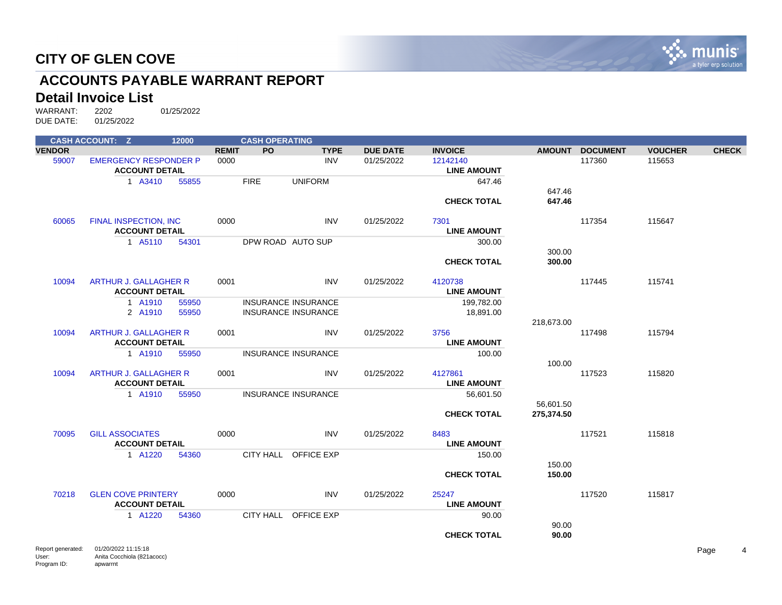

# **ACCOUNTS PAYABLE WARRANT REPORT**

#### **Detail Invoice List**

WARRANT: 2202 01/25/2022<br>DUE DATE: 01/25/2022 01/25/2022

|               | <b>CASH ACCOUNT: Z</b>                | 12000 |              | <b>CASH OPERATING</b> |                            |                 |                    |            |                 |                |              |
|---------------|---------------------------------------|-------|--------------|-----------------------|----------------------------|-----------------|--------------------|------------|-----------------|----------------|--------------|
| <b>VENDOR</b> |                                       |       | <b>REMIT</b> | PO                    | <b>TYPE</b>                | <b>DUE DATE</b> | <b>INVOICE</b>     |            | AMOUNT DOCUMENT | <b>VOUCHER</b> | <b>CHECK</b> |
| 59007         | <b>EMERGENCY RESPONDER P</b>          |       | 0000         |                       | <b>INV</b>                 | 01/25/2022      | 12142140           |            | 117360          | 115653         |              |
|               | <b>ACCOUNT DETAIL</b>                 |       |              |                       |                            |                 | <b>LINE AMOUNT</b> |            |                 |                |              |
|               | 1 A3410                               | 55855 |              | <b>FIRE</b>           | <b>UNIFORM</b>             |                 | 647.46             |            |                 |                |              |
|               |                                       |       |              |                       |                            |                 |                    | 647.46     |                 |                |              |
|               |                                       |       |              |                       |                            |                 | <b>CHECK TOTAL</b> | 647.46     |                 |                |              |
| 60065         | <b>FINAL INSPECTION, INC</b>          |       | 0000         |                       | <b>INV</b>                 | 01/25/2022      | 7301               |            | 117354          | 115647         |              |
|               | <b>ACCOUNT DETAIL</b>                 |       |              |                       |                            |                 | <b>LINE AMOUNT</b> |            |                 |                |              |
|               | 1 A5110                               | 54301 |              |                       | DPW ROAD AUTO SUP          |                 | 300.00             |            |                 |                |              |
|               |                                       |       |              |                       |                            |                 |                    | 300.00     |                 |                |              |
|               |                                       |       |              |                       |                            |                 | <b>CHECK TOTAL</b> | 300.00     |                 |                |              |
| 10094         | <b>ARTHUR J. GALLAGHER R</b>          |       | 0001         |                       | <b>INV</b>                 | 01/25/2022      | 4120738            |            | 117445          | 115741         |              |
|               | <b>ACCOUNT DETAIL</b>                 |       |              |                       |                            |                 | <b>LINE AMOUNT</b> |            |                 |                |              |
|               | 1 A1910                               | 55950 |              |                       | <b>INSURANCE INSURANCE</b> |                 | 199,782.00         |            |                 |                |              |
|               | 2 A1910                               | 55950 |              |                       | <b>INSURANCE INSURANCE</b> |                 | 18,891.00          |            |                 |                |              |
|               |                                       |       |              |                       |                            |                 |                    | 218,673.00 |                 |                |              |
| 10094         | <b>ARTHUR J. GALLAGHER R</b>          |       | 0001         |                       | <b>INV</b>                 | 01/25/2022      | 3756               |            | 117498          | 115794         |              |
|               | <b>ACCOUNT DETAIL</b>                 |       |              |                       |                            |                 | <b>LINE AMOUNT</b> |            |                 |                |              |
|               | 1 A1910                               | 55950 |              |                       | <b>INSURANCE INSURANCE</b> |                 | 100.00             |            |                 |                |              |
|               |                                       |       |              |                       |                            |                 |                    | 100.00     |                 |                |              |
| 10094         | <b>ARTHUR J. GALLAGHER R</b>          |       | 0001         |                       | <b>INV</b>                 | 01/25/2022      | 4127861            |            | 117523          | 115820         |              |
|               | <b>ACCOUNT DETAIL</b>                 |       |              |                       |                            |                 | <b>LINE AMOUNT</b> |            |                 |                |              |
|               | 1 A1910                               | 55950 |              |                       | <b>INSURANCE INSURANCE</b> |                 | 56,601.50          |            |                 |                |              |
|               |                                       |       |              |                       |                            |                 |                    | 56,601.50  |                 |                |              |
|               |                                       |       |              |                       |                            |                 | <b>CHECK TOTAL</b> | 275,374.50 |                 |                |              |
| 70095         | <b>GILL ASSOCIATES</b>                |       | 0000         |                       | <b>INV</b>                 | 01/25/2022      | 8483               |            | 117521          | 115818         |              |
|               | <b>ACCOUNT DETAIL</b>                 |       |              |                       |                            |                 | <b>LINE AMOUNT</b> |            |                 |                |              |
|               | 1 A1220                               | 54360 |              |                       | CITY HALL OFFICE EXP       |                 | 150.00             |            |                 |                |              |
|               |                                       |       |              |                       |                            |                 |                    | 150.00     |                 |                |              |
|               |                                       |       |              |                       |                            |                 | <b>CHECK TOTAL</b> | 150.00     |                 |                |              |
|               |                                       |       |              |                       |                            |                 |                    |            |                 |                |              |
| 70218         | <b>GLEN COVE PRINTERY</b>             |       | 0000         |                       | <b>INV</b>                 | 01/25/2022      | 25247              |            | 117520          | 115817         |              |
|               | <b>ACCOUNT DETAIL</b>                 |       |              |                       |                            |                 | <b>LINE AMOUNT</b> |            |                 |                |              |
|               | 1 A1220                               | 54360 |              |                       | CITY HALL OFFICE EXP       |                 | 90.00              |            |                 |                |              |
|               |                                       |       |              |                       |                            |                 |                    | 90.00      |                 |                |              |
|               |                                       |       |              |                       |                            |                 | <b>CHECK TOTAL</b> | 90.00      |                 |                |              |
|               | Ronort gonoratod: 01/20/2022 11:15:18 |       |              |                       |                            |                 |                    |            |                 |                | $D - C$      |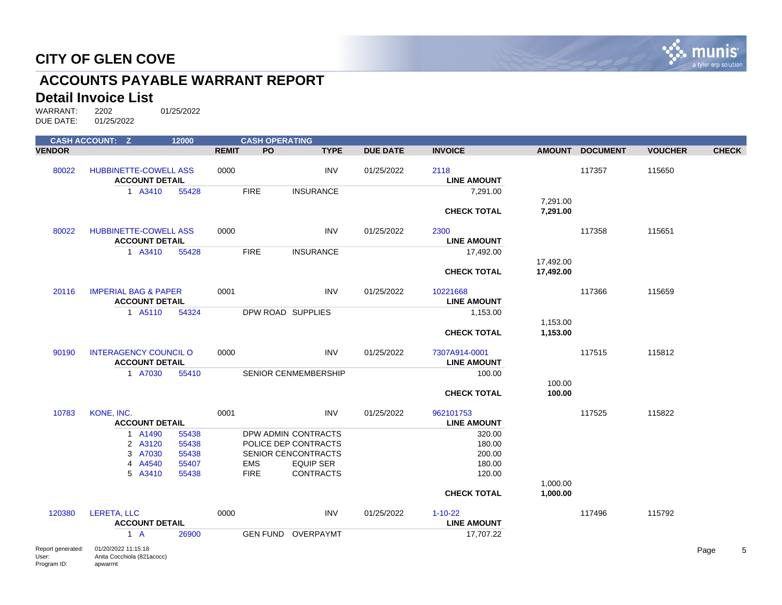

# **ACCOUNTS PAYABLE WARRANT REPORT**

#### **Detail Invoice List**

Program ID:

apwarrnt

WARRANT: 2202 01/25/2022<br>DUE DATE: 01/25/2022 01/25/2022

|                   | <b>CASH ACCOUNT: Z</b>          | 12000 |              | <b>CASH OPERATING</b> |                             |                 |                    |           |                 |                |              |
|-------------------|---------------------------------|-------|--------------|-----------------------|-----------------------------|-----------------|--------------------|-----------|-----------------|----------------|--------------|
| <b>VENDOR</b>     |                                 |       | <b>REMIT</b> | PO                    | <b>TYPE</b>                 | <b>DUE DATE</b> | <b>INVOICE</b>     |           | AMOUNT DOCUMENT | <b>VOUCHER</b> | <b>CHECK</b> |
|                   |                                 |       |              |                       |                             |                 |                    |           |                 |                |              |
| 80022             | <b>HUBBINETTE-COWELL ASS</b>    |       | 0000         |                       | <b>INV</b>                  | 01/25/2022      | 2118               |           | 117357          | 115650         |              |
|                   | <b>ACCOUNT DETAIL</b>           |       |              |                       |                             |                 | <b>LINE AMOUNT</b> |           |                 |                |              |
|                   | 1 A3410                         | 55428 |              | <b>FIRE</b>           | <b>INSURANCE</b>            |                 | 7,291.00           |           |                 |                |              |
|                   |                                 |       |              |                       |                             |                 |                    | 7,291.00  |                 |                |              |
|                   |                                 |       |              |                       |                             |                 | <b>CHECK TOTAL</b> | 7,291.00  |                 |                |              |
| 80022             | <b>HUBBINETTE-COWELL ASS</b>    |       | 0000         |                       | <b>INV</b>                  | 01/25/2022      | 2300               |           | 117358          | 115651         |              |
|                   | <b>ACCOUNT DETAIL</b>           |       |              |                       |                             |                 | <b>LINE AMOUNT</b> |           |                 |                |              |
|                   | 1 A3410                         | 55428 |              | <b>FIRE</b>           | <b>INSURANCE</b>            |                 | 17,492.00          |           |                 |                |              |
|                   |                                 |       |              |                       |                             |                 |                    | 17,492.00 |                 |                |              |
|                   |                                 |       |              |                       |                             |                 | <b>CHECK TOTAL</b> | 17,492.00 |                 |                |              |
| 20116             | <b>IMPERIAL BAG &amp; PAPER</b> |       | 0001         |                       | <b>INV</b>                  | 01/25/2022      | 10221668           |           | 117366          | 115659         |              |
|                   | <b>ACCOUNT DETAIL</b>           |       |              |                       |                             |                 | <b>LINE AMOUNT</b> |           |                 |                |              |
|                   | 1 A5110                         | 54324 |              |                       | DPW ROAD SUPPLIES           |                 | 1,153.00           |           |                 |                |              |
|                   |                                 |       |              |                       |                             |                 |                    | 1,153.00  |                 |                |              |
|                   |                                 |       |              |                       |                             |                 | <b>CHECK TOTAL</b> | 1,153.00  |                 |                |              |
|                   |                                 |       |              |                       |                             |                 |                    |           |                 |                |              |
| 90190             | <b>INTERAGENCY COUNCIL O</b>    |       | 0000         |                       | <b>INV</b>                  | 01/25/2022      | 7307A914-0001      |           | 117515          | 115812         |              |
|                   | <b>ACCOUNT DETAIL</b>           |       |              |                       |                             |                 | <b>LINE AMOUNT</b> |           |                 |                |              |
|                   | 1 A7030                         | 55410 |              |                       | <b>SENIOR CENMEMBERSHIP</b> |                 | 100.00             |           |                 |                |              |
|                   |                                 |       |              |                       |                             |                 |                    | 100.00    |                 |                |              |
|                   |                                 |       |              |                       |                             |                 | <b>CHECK TOTAL</b> | 100.00    |                 |                |              |
| 10783             | KONE, INC.                      |       | 0001         |                       | <b>INV</b>                  | 01/25/2022      | 962101753          |           | 117525          | 115822         |              |
|                   | <b>ACCOUNT DETAIL</b>           |       |              |                       |                             |                 | <b>LINE AMOUNT</b> |           |                 |                |              |
|                   | 1 A1490                         | 55438 |              |                       | DPW ADMIN CONTRACTS         |                 | 320.00             |           |                 |                |              |
|                   | 2 A3120                         | 55438 |              |                       | POLICE DEP CONTRACTS        |                 | 180.00             |           |                 |                |              |
|                   | 3 A7030                         | 55438 |              |                       | <b>SENIOR CENCONTRACTS</b>  |                 | 200.00             |           |                 |                |              |
|                   | 4 A4540                         | 55407 |              | <b>EMS</b>            | <b>EQUIP SER</b>            |                 | 180.00             |           |                 |                |              |
|                   | 5 A3410                         | 55438 |              | <b>FIRE</b>           | <b>CONTRACTS</b>            |                 | 120.00             |           |                 |                |              |
|                   |                                 |       |              |                       |                             |                 |                    | 1,000.00  |                 |                |              |
|                   |                                 |       |              |                       |                             |                 | <b>CHECK TOTAL</b> | 1,000.00  |                 |                |              |
| 120380            | <b>LERETA, LLC</b>              |       | 0000         |                       | <b>INV</b>                  | 01/25/2022      | $1 - 10 - 22$      |           | 117496          | 115792         |              |
|                   | <b>ACCOUNT DETAIL</b>           |       |              |                       |                             |                 | <b>LINE AMOUNT</b> |           |                 |                |              |
|                   | $1 \text{ A}$                   | 26900 |              |                       | <b>GEN FUND OVERPAYMT</b>   |                 | 17,707.22          |           |                 |                |              |
| Report generated: | 01/20/2022 11:15:18             |       |              |                       |                             |                 |                    |           |                 |                | 5<br>Page    |
| User:             | Anita Cocchiola (821acocc)      |       |              |                       |                             |                 |                    |           |                 |                |              |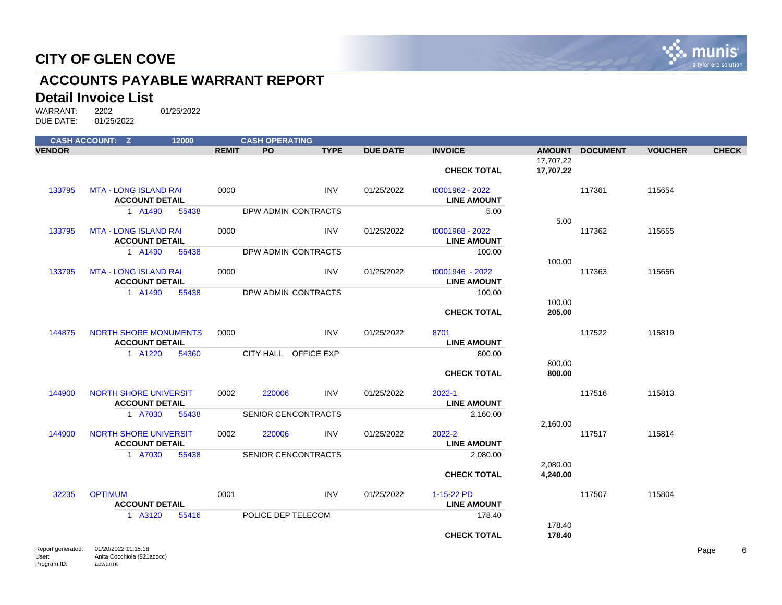

# **ACCOUNTS PAYABLE WARRANT REPORT**

#### **Detail Invoice List**

WARRANT: 2202 01/25/2022<br>DUE DATE: 01/25/2022 01/25/2022

|                   | <b>CASH ACCOUNT: Z</b>                                | 12000 |              | <b>CASH OPERATING</b>      |             |                 |                                       |                        |                 |                |              |
|-------------------|-------------------------------------------------------|-------|--------------|----------------------------|-------------|-----------------|---------------------------------------|------------------------|-----------------|----------------|--------------|
| <b>VENDOR</b>     |                                                       |       | <b>REMIT</b> | <b>PO</b>                  | <b>TYPE</b> | <b>DUE DATE</b> | <b>INVOICE</b>                        |                        | AMOUNT DOCUMENT | <b>VOUCHER</b> | <b>CHECK</b> |
|                   |                                                       |       |              |                            |             |                 | <b>CHECK TOTAL</b>                    | 17,707.22<br>17,707.22 |                 |                |              |
| 133795            | <b>MTA - LONG ISLAND RAI</b><br><b>ACCOUNT DETAIL</b> |       | 0000         |                            | <b>INV</b>  | 01/25/2022      | t0001962 - 2022<br><b>LINE AMOUNT</b> |                        | 117361          | 115654         |              |
|                   | 1 A1490                                               | 55438 |              | DPW ADMIN CONTRACTS        |             |                 | 5.00                                  | 5.00                   |                 |                |              |
| 133795            | <b>MTA - LONG ISLAND RAI</b><br><b>ACCOUNT DETAIL</b> |       | 0000         |                            | <b>INV</b>  | 01/25/2022      | t0001968 - 2022<br><b>LINE AMOUNT</b> |                        | 117362          | 115655         |              |
|                   | 1 A1490                                               | 55438 |              | DPW ADMIN CONTRACTS        |             |                 | 100.00                                |                        |                 |                |              |
| 133795            | <b>MTA - LONG ISLAND RAI</b>                          |       | 0000         |                            | <b>INV</b>  | 01/25/2022      | t0001946 - 2022                       | 100.00                 | 117363          | 115656         |              |
|                   | <b>ACCOUNT DETAIL</b>                                 |       |              |                            |             |                 | <b>LINE AMOUNT</b>                    |                        |                 |                |              |
|                   | 1 A1490                                               | 55438 |              | DPW ADMIN CONTRACTS        |             |                 | 100.00<br><b>CHECK TOTAL</b>          | 100.00<br>205.00       |                 |                |              |
| 144875            | <b>NORTH SHORE MONUMENTS</b>                          |       | 0000         |                            | <b>INV</b>  | 01/25/2022      | 8701                                  |                        | 117522          | 115819         |              |
|                   | <b>ACCOUNT DETAIL</b>                                 |       |              |                            |             |                 | <b>LINE AMOUNT</b>                    |                        |                 |                |              |
|                   | 1 A1220                                               | 54360 |              | CITY HALL OFFICE EXP       |             |                 | 800.00                                |                        |                 |                |              |
|                   |                                                       |       |              |                            |             |                 | <b>CHECK TOTAL</b>                    | 800.00<br>800.00       |                 |                |              |
| 144900            | <b>NORTH SHORE UNIVERSIT</b><br><b>ACCOUNT DETAIL</b> |       | 0002         | 220006                     | <b>INV</b>  | 01/25/2022      | 2022-1<br><b>LINE AMOUNT</b>          |                        | 117516          | 115813         |              |
|                   | 1 A7030                                               | 55438 |              | <b>SENIOR CENCONTRACTS</b> |             |                 | 2,160.00                              |                        |                 |                |              |
| 144900            | <b>NORTH SHORE UNIVERSIT</b><br><b>ACCOUNT DETAIL</b> |       | 0002         | 220006                     | <b>INV</b>  | 01/25/2022      | 2022-2<br><b>LINE AMOUNT</b>          | 2,160.00               | 117517          | 115814         |              |
|                   | 1 A7030                                               | 55438 |              | SENIOR CENCONTRACTS        |             |                 | 2,080.00                              |                        |                 |                |              |
|                   |                                                       |       |              |                            |             |                 | <b>CHECK TOTAL</b>                    | 2,080.00<br>4,240.00   |                 |                |              |
| 32235             | <b>OPTIMUM</b><br><b>ACCOUNT DETAIL</b>               |       | 0001         |                            | <b>INV</b>  | 01/25/2022      | 1-15-22 PD<br><b>LINE AMOUNT</b>      |                        | 117507          | 115804         |              |
|                   | 1 A3120                                               | 55416 |              | POLICE DEP TELECOM         |             |                 | 178.40                                |                        |                 |                |              |
|                   |                                                       |       |              |                            |             |                 | <b>CHECK TOTAL</b>                    | 178.40<br>178.40       |                 |                |              |
| Report generated: | 01/20/2022 11:15:18                                   |       |              |                            |             |                 |                                       |                        |                 |                | <b>Pane</b>  |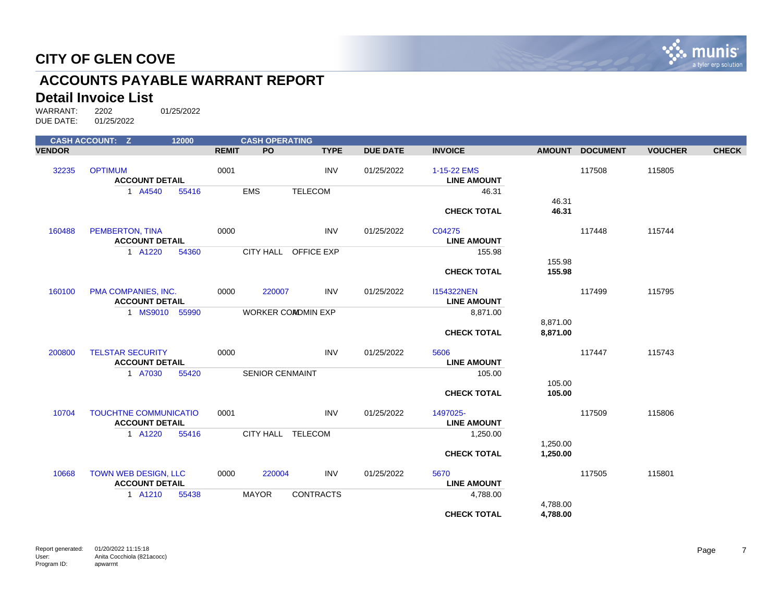

# **ACCOUNTS PAYABLE WARRANT REPORT**

#### **Detail Invoice List**

|               | <b>CASH ACCOUNT: Z</b>                                | 12000          |              | <b>CASH OPERATING</b>  |                           |                 |                                         |                      |                 |                |              |
|---------------|-------------------------------------------------------|----------------|--------------|------------------------|---------------------------|-----------------|-----------------------------------------|----------------------|-----------------|----------------|--------------|
| <b>VENDOR</b> |                                                       |                | <b>REMIT</b> | <b>PO</b>              | <b>TYPE</b>               | <b>DUE DATE</b> | <b>INVOICE</b>                          | <b>AMOUNT</b>        | <b>DOCUMENT</b> | <b>VOUCHER</b> | <b>CHECK</b> |
| 32235         | <b>OPTIMUM</b><br><b>ACCOUNT DETAIL</b>               |                | 0001         |                        | <b>INV</b>                | 01/25/2022      | 1-15-22 EMS<br><b>LINE AMOUNT</b>       |                      | 117508          | 115805         |              |
|               | 1 A4540                                               | 55416          |              | <b>EMS</b>             | <b>TELECOM</b>            |                 | 46.31                                   |                      |                 |                |              |
|               |                                                       |                |              |                        |                           |                 | <b>CHECK TOTAL</b>                      | 46.31<br>46.31       |                 |                |              |
| 160488        | PEMBERTON, TINA<br><b>ACCOUNT DETAIL</b>              |                | 0000         |                        | <b>INV</b>                | 01/25/2022      | C04275<br><b>LINE AMOUNT</b>            |                      | 117448          | 115744         |              |
|               | 1 A1220                                               | 54360          |              |                        | CITY HALL OFFICE EXP      |                 | 155.98                                  |                      |                 |                |              |
|               |                                                       |                |              |                        |                           |                 | <b>CHECK TOTAL</b>                      | 155.98<br>155.98     |                 |                |              |
| 160100        | PMA COMPANIES, INC.<br><b>ACCOUNT DETAIL</b>          |                | 0000         | 220007                 | <b>INV</b>                | 01/25/2022      | <b>I154322NEN</b><br><b>LINE AMOUNT</b> |                      | 117499          | 115795         |              |
|               |                                                       | 1 MS9010 55990 |              |                        | <b>WORKER COMDMIN EXP</b> |                 | 8,871.00                                |                      |                 |                |              |
|               |                                                       |                |              |                        |                           |                 | <b>CHECK TOTAL</b>                      | 8,871.00<br>8,871.00 |                 |                |              |
| 200800        | <b>TELSTAR SECURITY</b><br><b>ACCOUNT DETAIL</b>      |                | 0000         |                        | <b>INV</b>                | 01/25/2022      | 5606<br><b>LINE AMOUNT</b>              |                      | 117447          | 115743         |              |
|               | 1 A7030                                               | 55420          |              | <b>SENIOR CENMAINT</b> |                           |                 | 105.00                                  |                      |                 |                |              |
|               |                                                       |                |              |                        |                           |                 | <b>CHECK TOTAL</b>                      | 105.00<br>105.00     |                 |                |              |
| 10704         | <b>TOUCHTNE COMMUNICATIO</b><br><b>ACCOUNT DETAIL</b> |                | 0001         |                        | <b>INV</b>                | 01/25/2022      | 1497025-<br><b>LINE AMOUNT</b>          |                      | 117509          | 115806         |              |
|               | 1 A1220                                               | 55416          |              | CITY HALL TELECOM      |                           |                 | 1,250.00                                |                      |                 |                |              |
|               |                                                       |                |              |                        |                           |                 | <b>CHECK TOTAL</b>                      | 1,250.00<br>1,250.00 |                 |                |              |
| 10668         | <b>TOWN WEB DESIGN, LLC</b><br><b>ACCOUNT DETAIL</b>  |                | 0000         | 220004                 | <b>INV</b>                | 01/25/2022      | 5670<br><b>LINE AMOUNT</b>              |                      | 117505          | 115801         |              |
|               | 1 A1210                                               | 55438          |              | <b>MAYOR</b>           | <b>CONTRACTS</b>          |                 | 4,788.00                                |                      |                 |                |              |
|               |                                                       |                |              |                        |                           |                 | <b>CHECK TOTAL</b>                      | 4,788.00<br>4,788.00 |                 |                |              |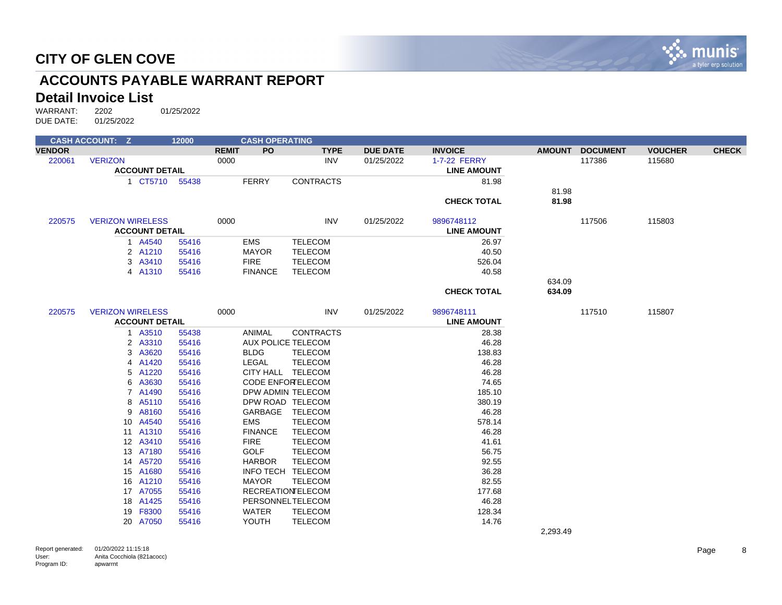

# **ACCOUNTS PAYABLE WARRANT REPORT**

#### **Detail Invoice List**

WARRANT: 2202 01/25/2022<br>DUE DATE: 01/25/2022 DUE DATE:

|               | <b>CASH ACCOUNT: Z</b>  | 12000 |                           | <b>CASH OPERATING</b>     |                 |                    |               |                 |                |              |
|---------------|-------------------------|-------|---------------------------|---------------------------|-----------------|--------------------|---------------|-----------------|----------------|--------------|
| <b>VENDOR</b> |                         |       | <b>PO</b><br><b>REMIT</b> | <b>TYPE</b>               | <b>DUE DATE</b> | <b>INVOICE</b>     | <b>AMOUNT</b> | <b>DOCUMENT</b> | <b>VOUCHER</b> | <b>CHECK</b> |
| 220061        | <b>VERIZON</b>          |       | 0000                      | <b>INV</b>                | 01/25/2022      | 1-7-22 FERRY       |               | 117386          | 115680         |              |
|               | <b>ACCOUNT DETAIL</b>   |       |                           |                           |                 | <b>LINE AMOUNT</b> |               |                 |                |              |
|               | 1 CT5710 55438          |       | <b>FERRY</b>              | <b>CONTRACTS</b>          |                 | 81.98              |               |                 |                |              |
|               |                         |       |                           |                           |                 |                    | 81.98         |                 |                |              |
|               |                         |       |                           |                           |                 | <b>CHECK TOTAL</b> | 81.98         |                 |                |              |
| 220575        | <b>VERIZON WIRELESS</b> |       | 0000                      | <b>INV</b>                | 01/25/2022      | 9896748112         |               | 117506          | 115803         |              |
|               | <b>ACCOUNT DETAIL</b>   |       |                           |                           |                 | <b>LINE AMOUNT</b> |               |                 |                |              |
|               | 1 A4540                 | 55416 | EMS                       | <b>TELECOM</b>            |                 | 26.97              |               |                 |                |              |
|               | 2 A1210                 | 55416 | <b>MAYOR</b>              | <b>TELECOM</b>            |                 | 40.50              |               |                 |                |              |
|               | 3 A3410                 | 55416 | <b>FIRE</b>               | <b>TELECOM</b>            |                 | 526.04             |               |                 |                |              |
|               | 4 A1310                 | 55416 | <b>FINANCE</b>            | <b>TELECOM</b>            |                 | 40.58              |               |                 |                |              |
|               |                         |       |                           |                           |                 |                    | 634.09        |                 |                |              |
|               |                         |       |                           |                           |                 | <b>CHECK TOTAL</b> | 634.09        |                 |                |              |
| 220575        | <b>VERIZON WIRELESS</b> |       | 0000                      | <b>INV</b>                | 01/25/2022      | 9896748111         |               | 117510          | 115807         |              |
|               | <b>ACCOUNT DETAIL</b>   |       |                           |                           |                 | <b>LINE AMOUNT</b> |               |                 |                |              |
|               | 1 A3510                 | 55438 | ANIMAL                    | <b>CONTRACTS</b>          |                 | 28.38              |               |                 |                |              |
|               | 2 A3310                 | 55416 |                           | <b>AUX POLICE TELECOM</b> |                 | 46.28              |               |                 |                |              |
|               | 3<br>A3620              | 55416 | <b>BLDG</b>               | <b>TELECOM</b>            |                 | 138.83             |               |                 |                |              |
|               | A1420<br>4              | 55416 | <b>LEGAL</b>              | <b>TELECOM</b>            |                 | 46.28              |               |                 |                |              |
|               | 5<br>A1220              | 55416 |                           | CITY HALL TELECOM         |                 | 46.28              |               |                 |                |              |
|               | A3630<br>6              | 55416 |                           | <b>CODE ENFORELECOM</b>   |                 | 74.65              |               |                 |                |              |
|               | 7 A1490                 | 55416 |                           | DPW ADMIN TELECOM         |                 | 185.10             |               |                 |                |              |
|               | 8 A5110                 | 55416 |                           | DPW ROAD TELECOM          |                 | 380.19             |               |                 |                |              |
|               | A8160<br>9              | 55416 | GARBAGE                   | TELECOM                   |                 | 46.28              |               |                 |                |              |
|               | 10 A4540                | 55416 | <b>EMS</b>                | <b>TELECOM</b>            |                 | 578.14             |               |                 |                |              |
|               | 11 A1310                | 55416 | <b>FINANCE</b>            | TELECOM                   |                 | 46.28              |               |                 |                |              |
|               | 12 A3410                | 55416 | <b>FIRE</b>               | <b>TELECOM</b>            |                 | 41.61              |               |                 |                |              |
|               | 13 A7180                | 55416 | <b>GOLF</b>               | <b>TELECOM</b>            |                 | 56.75              |               |                 |                |              |
|               | A5720<br>14             | 55416 | <b>HARBOR</b>             | TELECOM                   |                 | 92.55              |               |                 |                |              |
|               | 15 A1680                | 55416 |                           | INFO TECH TELECOM         |                 | 36.28              |               |                 |                |              |
|               | 16 A1210                | 55416 | <b>MAYOR</b>              | <b>TELECOM</b>            |                 | 82.55              |               |                 |                |              |
|               | 17 A7055                | 55416 |                           | <b>RECREATIONTELECOM</b>  |                 | 177.68             |               |                 |                |              |
|               | 18 A1425                | 55416 |                           | PERSONNELTELECOM          |                 | 46.28              |               |                 |                |              |
|               | F8300<br>19             | 55416 | <b>WATER</b>              | <b>TELECOM</b>            |                 | 128.34             |               |                 |                |              |
|               | 20 A7050                | 55416 | YOUTH                     | <b>TELECOM</b>            |                 | 14.76              |               |                 |                |              |
|               |                         |       |                           |                           |                 |                    | 2.202 A       |                 |                |              |

2,293.49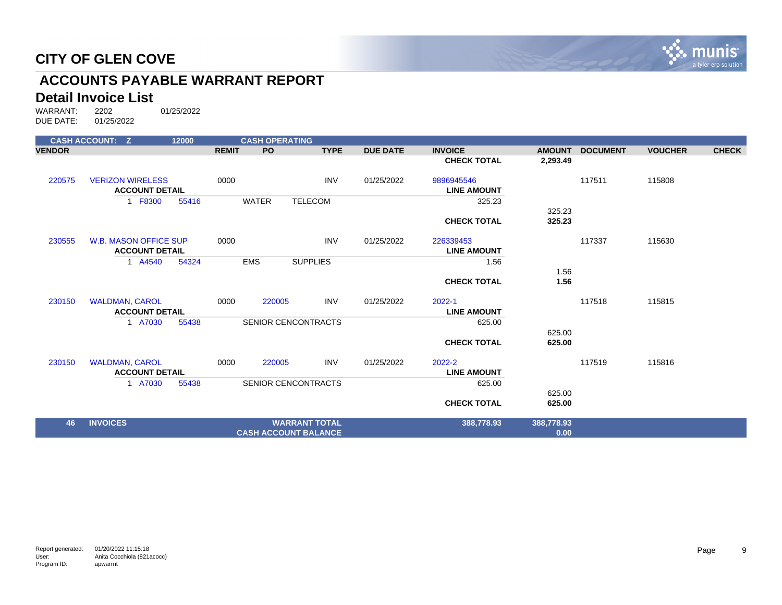

# **ACCOUNTS PAYABLE WARRANT REPORT**

#### **Detail Invoice List**

|               | <b>CASH ACCOUNT: Z</b>                           | 12000 |              | <b>CASH OPERATING</b> |                             |                 |                                  |               |                 |                |              |
|---------------|--------------------------------------------------|-------|--------------|-----------------------|-----------------------------|-----------------|----------------------------------|---------------|-----------------|----------------|--------------|
| <b>VENDOR</b> |                                                  |       | <b>REMIT</b> | PO                    | <b>TYPE</b>                 | <b>DUE DATE</b> | <b>INVOICE</b>                   | <b>AMOUNT</b> | <b>DOCUMENT</b> | <b>VOUCHER</b> | <b>CHECK</b> |
|               |                                                  |       |              |                       |                             |                 | <b>CHECK TOTAL</b>               | 2,293.49      |                 |                |              |
| 220575        | <b>VERIZON WIRELESS</b><br><b>ACCOUNT DETAIL</b> |       | 0000         |                       | <b>INV</b>                  | 01/25/2022      | 9896945546<br><b>LINE AMOUNT</b> |               | 117511          | 115808         |              |
|               | 1 F8300                                          | 55416 |              | <b>WATER</b>          | <b>TELECOM</b>              |                 | 325.23                           |               |                 |                |              |
|               |                                                  |       |              |                       |                             |                 |                                  | 325.23        |                 |                |              |
|               |                                                  |       |              |                       |                             |                 | <b>CHECK TOTAL</b>               | 325.23        |                 |                |              |
| 230555        | <b>W.B. MASON OFFICE SUP</b>                     |       | 0000         |                       | <b>INV</b>                  | 01/25/2022      | 226339453                        |               | 117337          | 115630         |              |
|               | <b>ACCOUNT DETAIL</b>                            |       |              |                       |                             |                 | <b>LINE AMOUNT</b>               |               |                 |                |              |
|               | 1 A4540                                          | 54324 |              | <b>EMS</b>            | <b>SUPPLIES</b>             |                 | 1.56                             |               |                 |                |              |
|               |                                                  |       |              |                       |                             |                 | <b>CHECK TOTAL</b>               | 1.56<br>1.56  |                 |                |              |
|               |                                                  |       |              |                       |                             |                 |                                  |               |                 |                |              |
| 230150        | <b>WALDMAN, CAROL</b>                            |       | 0000         | 220005                | <b>INV</b>                  | 01/25/2022      | 2022-1                           |               | 117518          | 115815         |              |
|               | <b>ACCOUNT DETAIL</b>                            |       |              |                       |                             |                 | <b>LINE AMOUNT</b>               |               |                 |                |              |
|               | 1 A7030                                          | 55438 |              |                       | <b>SENIOR CENCONTRACTS</b>  |                 | 625.00                           |               |                 |                |              |
|               |                                                  |       |              |                       |                             |                 |                                  | 625.00        |                 |                |              |
|               |                                                  |       |              |                       |                             |                 | <b>CHECK TOTAL</b>               | 625.00        |                 |                |              |
| 230150        | <b>WALDMAN, CAROL</b>                            |       | 0000         | 220005                | <b>INV</b>                  | 01/25/2022      | 2022-2                           |               | 117519          | 115816         |              |
|               | <b>ACCOUNT DETAIL</b>                            |       |              |                       |                             |                 | <b>LINE AMOUNT</b>               |               |                 |                |              |
|               | 1 A7030                                          | 55438 |              |                       | <b>SENIOR CENCONTRACTS</b>  |                 | 625.00                           |               |                 |                |              |
|               |                                                  |       |              |                       |                             |                 |                                  | 625.00        |                 |                |              |
|               |                                                  |       |              |                       |                             |                 | <b>CHECK TOTAL</b>               | 625.00        |                 |                |              |
| 46            | <b>INVOICES</b>                                  |       |              |                       | <b>WARRANT TOTAL</b>        |                 | 388,778.93                       | 388,778.93    |                 |                |              |
|               |                                                  |       |              |                       | <b>CASH ACCOUNT BALANCE</b> |                 |                                  | 0.00          |                 |                |              |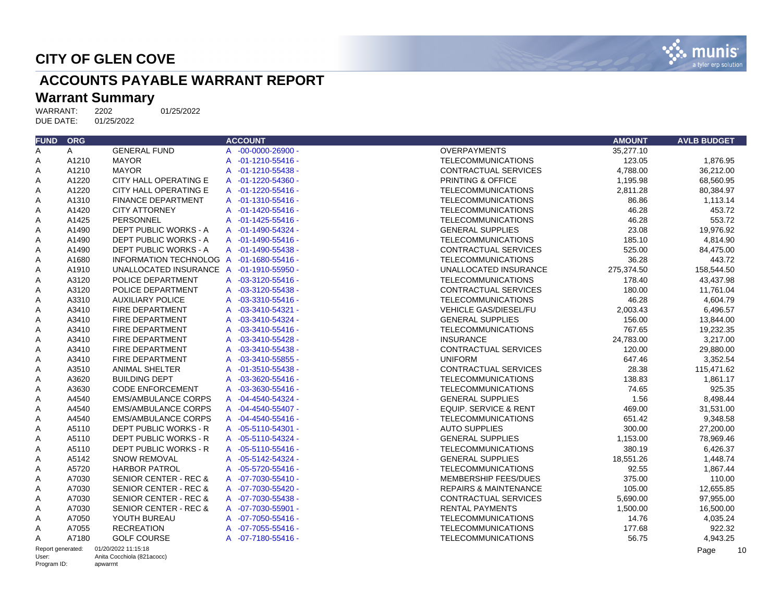

# **ACCOUNTS PAYABLE WARRANT REPORT**

# Warrant Summary<br>WARRANT: 2202

WARRANT: 2202 01/25/2022<br>DUE DATE: 01/25/2022 DUE DATE:

| <b>FUND</b>       | <b>ORG</b>   |                                          | <b>ACCOUNT</b>     | <b>AMOUNT</b>                              | <b>AVLB BUDGET</b> |
|-------------------|--------------|------------------------------------------|--------------------|--------------------------------------------|--------------------|
| A                 | $\mathsf{A}$ | <b>GENERAL FUND</b>                      | A -00-0000-26900 - | <b>OVERPAYMENTS</b><br>35,277.10           |                    |
| Α                 | A1210        | <b>MAYOR</b>                             | A -01-1210-55416 - | 123.05<br><b>TELECOMMUNICATIONS</b>        | 1,876.95           |
| Α                 | A1210        | <b>MAYOR</b>                             | A -01-1210-55438 - | <b>CONTRACTUAL SERVICES</b><br>4,788.00    | 36,212.00          |
| Α                 | A1220        | CITY HALL OPERATING E                    | A -01-1220-54360 - | PRINTING & OFFICE<br>1,195.98              | 68,560.95          |
| Α                 | A1220        | CITY HALL OPERATING E                    | A -01-1220-55416 - | <b>TELECOMMUNICATIONS</b><br>2.811.28      | 80.384.97          |
| Α                 | A1310        | <b>FINANCE DEPARTMENT</b>                | A -01-1310-55416 - | <b>TELECOMMUNICATIONS</b><br>86.86         | 1,113.14           |
| Α                 | A1420        | <b>CITY ATTORNEY</b>                     | A -01-1420-55416 - | 46.28<br><b>TELECOMMUNICATIONS</b>         | 453.72             |
| A                 | A1425        | PERSONNEL                                | A -01-1425-55416 - | 46.28<br><b>TELECOMMUNICATIONS</b>         | 553.72             |
| Α                 | A1490        | DEPT PUBLIC WORKS - A                    | A -01-1490-54324 - | 23.08<br><b>GENERAL SUPPLIES</b>           | 19,976.92          |
| A                 | A1490        | DEPT PUBLIC WORKS - A                    | A -01-1490-55416 - | <b>TELECOMMUNICATIONS</b><br>185.10        | 4,814.90           |
| Α                 | A1490        | DEPT PUBLIC WORKS - A                    | A -01-1490-55438 - | 525.00<br><b>CONTRACTUAL SERVICES</b>      | 84,475.00          |
| Α                 | A1680        | INFORMATION TECHNOLOG A -01-1680-55416 - |                    | 36.28<br><b>TELECOMMUNICATIONS</b>         | 443.72             |
| Α                 | A1910        | UNALLOCATED INSURANCE A -01-1910-55950 - |                    | UNALLOCATED INSURANCE<br>275,374.50        | 158,544.50         |
| Α                 | A3120        | POLICE DEPARTMENT                        | A -03-3120-55416 - | <b>TELECOMMUNICATIONS</b><br>178.40        | 43,437.98          |
| Α                 | A3120        | POLICE DEPARTMENT                        | A -03-3120-55438 - | CONTRACTUAL SERVICES<br>180.00             | 11,761.04          |
| Α                 | A3310        | <b>AUXILIARY POLICE</b>                  | A -03-3310-55416 - | 46.28<br><b>TELECOMMUNICATIONS</b>         | 4,604.79           |
| Α                 | A3410        | FIRE DEPARTMENT                          | A -03-3410-54321 - | <b>VEHICLE GAS/DIESEL/FU</b><br>2,003.43   | 6,496.57           |
| A                 | A3410        | FIRE DEPARTMENT                          | A -03-3410-54324 - | <b>GENERAL SUPPLIES</b><br>156.00          | 13,844.00          |
| Α                 | A3410        | FIRE DEPARTMENT                          | A -03-3410-55416 - | 767.65<br><b>TELECOMMUNICATIONS</b>        | 19,232.35          |
| Α                 | A3410        | FIRE DEPARTMENT                          | A -03-3410-55428 - | <b>INSURANCE</b><br>24,783.00              | 3,217.00           |
| A                 | A3410        | FIRE DEPARTMENT                          | A -03-3410-55438 - | <b>CONTRACTUAL SERVICES</b><br>120.00      | 29.880.00          |
| A                 | A3410        | FIRE DEPARTMENT                          | A -03-3410-55855 - | <b>UNIFORM</b><br>647.46                   | 3,352.54           |
| Α                 | A3510        | <b>ANIMAL SHELTER</b>                    | A -01-3510-55438 - | <b>CONTRACTUAL SERVICES</b><br>28.38       | 115,471.62         |
| A                 | A3620        | <b>BUILDING DEPT</b>                     | A -03-3620-55416 - | <b>TELECOMMUNICATIONS</b><br>138.83        | 1.861.17           |
| Α                 | A3630        | <b>CODE ENFORCEMENT</b>                  | A -03-3630-55416 - | <b>TELECOMMUNICATIONS</b><br>74.65         | 925.35             |
| Α                 | A4540        | <b>EMS/AMBULANCE CORPS</b>               | A -04-4540-54324 - | 1.56<br><b>GENERAL SUPPLIES</b>            | 8,498.44           |
| Α                 | A4540        | <b>EMS/AMBULANCE CORPS</b>               | A -04-4540-55407 - | <b>EQUIP. SERVICE &amp; RENT</b><br>469.00 | 31,531.00          |
| Α                 | A4540        | <b>EMS/AMBULANCE CORPS</b>               | A -04-4540-55416 - | 651.42<br><b>TELECOMMUNICATIONS</b>        | 9,348.58           |
| Α                 | A5110        | <b>DEPT PUBLIC WORKS - R</b>             | A -05-5110-54301 - | <b>AUTO SUPPLIES</b><br>300.00             | 27,200.00          |
| Α                 | A5110        | DEPT PUBLIC WORKS - R                    | A -05-5110-54324 - | 1,153.00<br><b>GENERAL SUPPLIES</b>        | 78.969.46          |
| Α                 | A5110        | DEPT PUBLIC WORKS - R                    | A -05-5110-55416 - | 380.19<br><b>TELECOMMUNICATIONS</b>        | 6,426.37           |
| Α                 | A5142        | <b>SNOW REMOVAL</b>                      | A -05-5142-54324 - | <b>GENERAL SUPPLIES</b><br>18,551.26       | 1,448.74           |
| A                 | A5720        | <b>HARBOR PATROL</b>                     | A -05-5720-55416 - | <b>TELECOMMUNICATIONS</b><br>92.55         | 1,867.44           |
| Α                 | A7030        | SENIOR CENTER - REC &                    | A -07-7030-55410 - | MEMBERSHIP FEES/DUES<br>375.00             | 110.00             |
| Α                 | A7030        | SENIOR CENTER - REC &                    | A -07-7030-55420 - | 105.00<br><b>REPAIRS &amp; MAINTENANCE</b> | 12,655.85          |
| A                 | A7030        | SENIOR CENTER - REC &                    | A -07-7030-55438 - | 5,690.00<br><b>CONTRACTUAL SERVICES</b>    | 97.955.00          |
| A                 | A7030        | <b>SENIOR CENTER - REC &amp;</b>         | A -07-7030-55901 - | <b>RENTAL PAYMENTS</b><br>1,500.00         | 16,500.00          |
| Α                 | A7050        | YOUTH BUREAU                             | A -07-7050-55416 - | <b>TELECOMMUNICATIONS</b><br>14.76         | 4,035.24           |
| Α                 | A7055        | <b>RECREATION</b>                        | A -07-7055-55416 - | 177.68<br><b>TELECOMMUNICATIONS</b>        | 922.32             |
| A                 | A7180        | <b>GOLF COURSE</b>                       | A -07-7180-55416 - | 56.75<br><b>TELECOMMUNICATIONS</b>         | 4,943.25           |
| Report generated: |              | 01/20/2022 11:15:18                      |                    |                                            | Page<br>-10        |

User: Program ID: Anita Cocchiola (821acocc) apwarrnt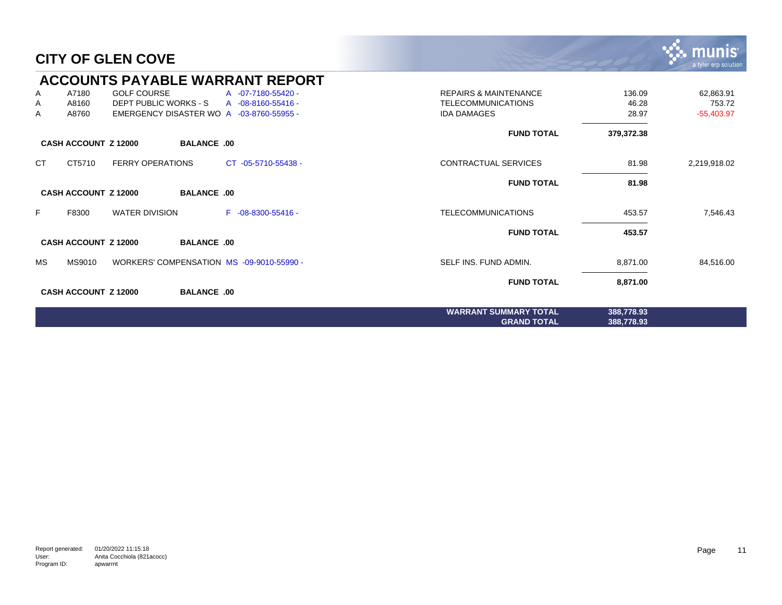|           |                             |                         |                    | <b>ACCOUNTS PAYABLE WARRANT REPORT</b>    |                                  |            |              |
|-----------|-----------------------------|-------------------------|--------------------|-------------------------------------------|----------------------------------|------------|--------------|
| A         | A7180                       | <b>GOLF COURSE</b>      |                    | A -07-7180-55420 -                        | <b>REPAIRS &amp; MAINTENANCE</b> | 136.09     | 62,863.91    |
| Α         | A8160                       | DEPT PUBLIC WORKS - S   |                    | A -08-8160-55416 -                        | <b>TELECOMMUNICATIONS</b>        | 46.28      | 753.72       |
| Α         | A8760                       |                         |                    | EMERGENCY DISASTER WO A -03-8760-55955 -  | <b>IDA DAMAGES</b>               | 28.97      | $-55,403.97$ |
|           |                             |                         |                    |                                           | <b>FUND TOTAL</b>                | 379,372.38 |              |
|           | <b>CASH ACCOUNT Z 12000</b> |                         | <b>BALANCE .00</b> |                                           |                                  |            |              |
| <b>CT</b> | CT5710                      | <b>FERRY OPERATIONS</b> |                    | CT -05-5710-55438 -                       | <b>CONTRACTUAL SERVICES</b>      | 81.98      | 2,219,918.02 |
|           |                             |                         |                    |                                           | <b>FUND TOTAL</b>                | 81.98      |              |
|           | <b>CASH ACCOUNT Z 12000</b> |                         | <b>BALANCE .00</b> |                                           |                                  |            |              |
| F         | F8300                       | <b>WATER DIVISION</b>   |                    | $F -08 - 8300 - 55416 -$                  | <b>TELECOMMUNICATIONS</b>        | 453.57     | 7,546.43     |
|           |                             |                         |                    |                                           | <b>FUND TOTAL</b>                | 453.57     |              |
|           | <b>CASH ACCOUNT Z 12000</b> |                         | <b>BALANCE .00</b> |                                           |                                  |            |              |
| <b>MS</b> | MS9010                      |                         |                    | WORKERS' COMPENSATION MS -09-9010-55990 - | SELF INS. FUND ADMIN.            | 8,871.00   | 84,516.00    |
|           |                             |                         |                    |                                           | <b>FUND TOTAL</b>                | 8,871.00   |              |
|           | <b>CASH ACCOUNT Z 12000</b> |                         | <b>BALANCE .00</b> |                                           |                                  |            |              |
|           |                             |                         |                    |                                           | <b>WARRANT SUMMARY TOTAL</b>     | 388,778.93 |              |
|           |                             |                         |                    |                                           | <b>GRAND TOTAL</b>               | 388,778.93 |              |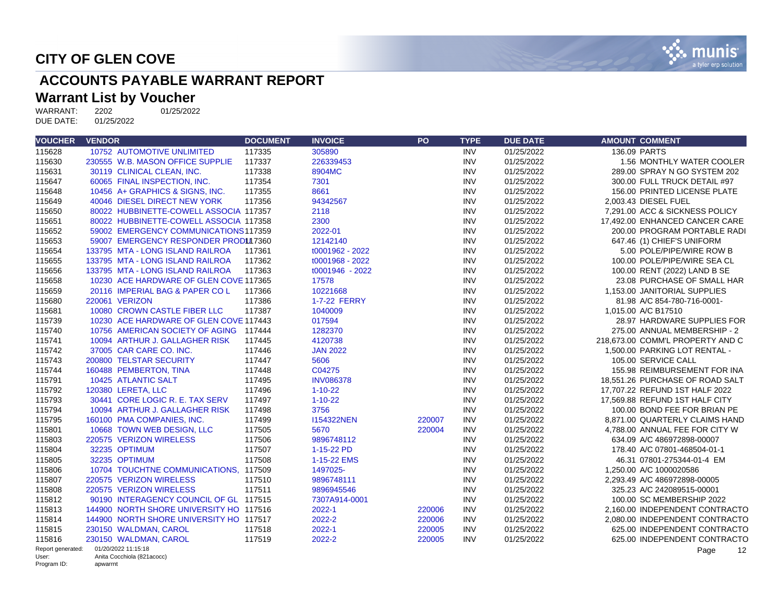

# **ACCOUNTS PAYABLE WARRANT REPORT**

# **Warrant List by Voucher**<br>WARRANT: 2202 01/25/2022

WARRANT: 2202<br>DUE DATE: 01/25/2022 DUE DATE:

| <b>VOUCHER</b>             | <b>VENDOR</b>                                     | <b>DOCUMENT</b> | <b>INVOICE</b>    | <b>PO</b> | <b>TYPE</b> | <b>DUE DATE</b> | <b>AMOUNT COMMENT</b>            |
|----------------------------|---------------------------------------------------|-----------------|-------------------|-----------|-------------|-----------------|----------------------------------|
| 115628                     | <b>10752 AUTOMOTIVE UNLIMITED</b>                 | 117335          | 305890            |           | <b>INV</b>  | 01/25/2022      | 136.09 PARTS                     |
| 115630                     | 230555 W.B. MASON OFFICE SUPPLIE                  | 117337          | 226339453         |           | <b>INV</b>  | 01/25/2022      | 1.56 MONTHLY WATER COOLER        |
| 115631                     | 30119 CLINICAL CLEAN, INC.                        | 117338          | 8904MC            |           | <b>INV</b>  | 01/25/2022      | 289.00 SPRAY N GO SYSTEM 202     |
| 115647                     | 60065 FINAL INSPECTION, INC.                      | 117354          | 7301              |           | <b>INV</b>  | 01/25/2022      | 300.00 FULL TRUCK DETAIL #97     |
| 115648                     | 10456 A+ GRAPHICS & SIGNS, INC.                   | 117355          | 8661              |           | <b>INV</b>  | 01/25/2022      | 156.00 PRINTED LICENSE PLATE     |
| 115649                     | 40046 DIESEL DIRECT NEW YORK                      | 117356          | 94342567          |           | <b>INV</b>  | 01/25/2022      | 2.003.43 DIESEL FUEL             |
| 115650                     | 80022 HUBBINETTE-COWELL ASSOCIA 117357            |                 | 2118              |           | <b>INV</b>  | 01/25/2022      | 7.291.00 ACC & SICKNESS POLICY   |
| 115651                     | 80022 HUBBINETTE-COWELL ASSOCIA 117358            |                 | 2300              |           | <b>INV</b>  | 01/25/2022      | 17,492.00 ENHANCED CANCER CARE   |
| 115652                     | 59002 EMERGENCY COMMUNICATIONS 117359             |                 | 2022-01           |           | <b>INV</b>  | 01/25/2022      | 200.00 PROGRAM PORTABLE RADI     |
| 115653                     | 59007 EMERGENCY RESPONDER PRODUI7360              |                 | 12142140          |           | <b>INV</b>  | 01/25/2022      | 647.46 (1) CHIEF'S UNIFORM       |
| 115654                     | 133795 MTA - LONG ISLAND RAILROA                  | 117361          | t0001962 - 2022   |           | <b>INV</b>  | 01/25/2022      | 5.00 POLE/PIPE/WIRE ROW B        |
| 115655                     | 133795 MTA - LONG ISLAND RAILROA                  | 117362          | t0001968 - 2022   |           | <b>INV</b>  | 01/25/2022      | 100.00 POLE/PIPE/WIRE SEA CL     |
| 115656                     | 133795 MTA - LONG ISLAND RAILROA                  | 117363          | t0001946 - 2022   |           | <b>INV</b>  | 01/25/2022      | 100.00 RENT (2022) LAND B SE     |
| 115658                     | 10230 ACE HARDWARE OF GLEN COVE 117365            |                 | 17578             |           | <b>INV</b>  | 01/25/2022      | 23.08 PURCHASE OF SMALL HAR      |
| 115659                     | 20116 IMPERIAL BAG & PAPER COL                    | 117366          | 10221668          |           | <b>INV</b>  | 01/25/2022      | 1.153.00 JANITORIAL SUPPLIES     |
| 115680                     | 220061 VERIZON                                    | 117386          | 1-7-22 FERRY      |           | <b>INV</b>  | 01/25/2022      | 81.98 A/C 854-780-716-0001-      |
| 115681                     | 10080 CROWN CASTLE FIBER LLC                      | 117387          | 1040009           |           | <b>INV</b>  | 01/25/2022      | 1,015.00 A/C B17510              |
| 115739                     | 10230 ACE HARDWARE OF GLEN COVE 117443            |                 | 017594            |           | <b>INV</b>  | 01/25/2022      | 28.97 HARDWARE SUPPLIES FOR      |
| 115740                     | 10756 AMERICAN SOCIETY OF AGING 117444            |                 | 1282370           |           | <b>INV</b>  | 01/25/2022      | 275.00 ANNUAL MEMBERSHIP - 2     |
| 115741                     | 10094 ARTHUR J. GALLAGHER RISK                    | 117445          | 4120738           |           | <b>INV</b>  | 01/25/2022      | 218,673.00 COMM'L PROPERTY AND C |
| 115742                     | 37005 CAR CARE CO. INC.                           | 117446          | <b>JAN 2022</b>   |           | <b>INV</b>  | 01/25/2022      | 1,500.00 PARKING LOT RENTAL -    |
| 115743                     | 200800 TELSTAR SECURITY                           | 117447          | 5606              |           | <b>INV</b>  | 01/25/2022      | 105.00 SERVICE CALL              |
| 115744                     | 160488 PEMBERTON, TINA                            | 117448          | C04275            |           | <b>INV</b>  | 01/25/2022      | 155.98 REIMBURSEMENT FOR INA     |
| 115791                     | 10425 ATLANTIC SALT                               | 117495          | <b>INV086378</b>  |           | <b>INV</b>  | 01/25/2022      | 18.551.26 PURCHASE OF ROAD SALT  |
| 115792                     | 120380 LERETA, LLC                                | 117496          | $1 - 10 - 22$     |           | <b>INV</b>  | 01/25/2022      | 17,707.22 REFUND 1ST HALF 2022   |
| 115793                     | 30441 CORE LOGIC R. E. TAX SERV                   | 117497          | $1 - 10 - 22$     |           | <b>INV</b>  | 01/25/2022      | 17.569.88 REFUND 1ST HALF CITY   |
| 115794                     | 10094 ARTHUR J. GALLAGHER RISK                    | 117498          | 3756              |           | <b>INV</b>  | 01/25/2022      | 100.00 BOND FEE FOR BRIAN PE     |
| 115795                     | 160100 PMA COMPANIES. INC.                        | 117499          | <b>I154322NEN</b> | 220007    | <b>INV</b>  | 01/25/2022      | 8.871.00 QUARTERLY CLAIMS HAND   |
| 115801                     | 10668 TOWN WEB DESIGN, LLC                        | 117505          | 5670              | 220004    | <b>INV</b>  | 01/25/2022      | 4,788.00 ANNUAL FEE FOR CITY W   |
| 115803                     | 220575 VERIZON WIRELESS                           | 117506          | 9896748112        |           | <b>INV</b>  | 01/25/2022      | 634.09 A/C 486972898-00007       |
| 115804                     | 32235 OPTIMUM                                     | 117507          | 1-15-22 PD        |           | <b>INV</b>  | 01/25/2022      | 178.40 A/C 07801-468504-01-1     |
| 115805                     | 32235 OPTIMUM                                     | 117508          | 1-15-22 EMS       |           | <b>INV</b>  | 01/25/2022      | 46.31 07801-275344-01-4 EM       |
| 115806                     | 10704 TOUCHTNE COMMUNICATIONS, 117509             |                 | 1497025-          |           | <b>INV</b>  | 01/25/2022      | 1,250.00 A/C 1000020586          |
| 115807                     | 220575 VERIZON WIRELESS                           | 117510          | 9896748111        |           | <b>INV</b>  | 01/25/2022      | 2,293.49 A/C 486972898-00005     |
| 115808                     | 220575 VERIZON WIRELESS                           | 117511          | 9896945546        |           | <b>INV</b>  | 01/25/2022      | 325.23 A/C 242089515-00001       |
| 115812                     | 90190 INTERAGENCY COUNCIL OF GL 117515            |                 | 7307A914-0001     |           | <b>INV</b>  | 01/25/2022      | 100.00 SC MEMBERSHIP 2022        |
| 115813                     | 144900 NORTH SHORE UNIVERSITY HO 117516           |                 | 2022-1            | 220006    | <b>INV</b>  | 01/25/2022      | 2,160.00 INDEPENDENT CONTRACTO   |
| 115814                     | 144900 NORTH SHORE UNIVERSITY HO 117517           |                 | 2022-2            | 220006    | <b>INV</b>  | 01/25/2022      | 2,080.00 INDEPENDENT CONTRACTO   |
| 115815                     | 230150 WALDMAN, CAROL                             | 117518          | 2022-1            | 220005    | <b>INV</b>  | 01/25/2022      | 625.00 INDEPENDENT CONTRACTO     |
| 115816                     | 230150 WALDMAN, CAROL                             | 117519          | 2022-2            | 220005    | <b>INV</b>  | 01/25/2022      | 625.00 INDEPENDENT CONTRACTO     |
| Report generated:<br>User: | 01/20/2022 11:15:18<br>Anita Cocchiola (821acocc) |                 |                   |           |             |                 | 12<br>Page                       |
| Program ID:                | apwarrnt                                          |                 |                   |           |             |                 |                                  |

Program ID: